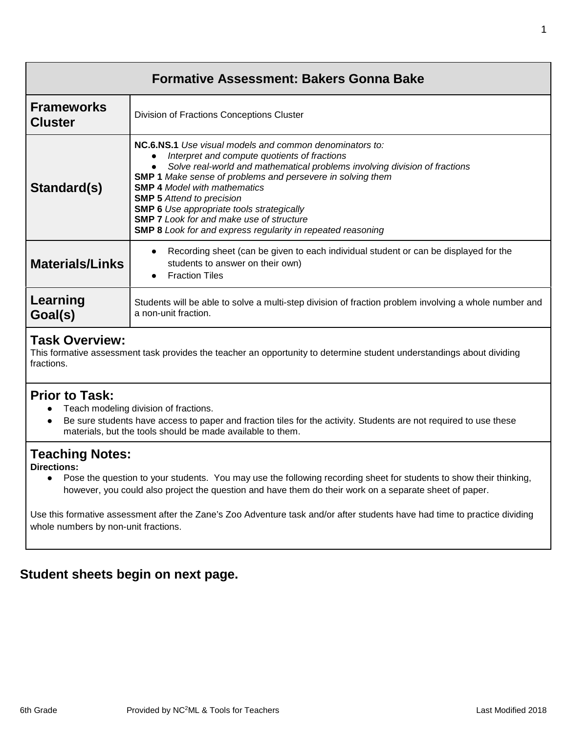| <b>Formative Assessment: Bakers Gonna Bake</b> |                                                                                                                                                                                                                                                                                                                                                                                                                                                                                                                           |  |
|------------------------------------------------|---------------------------------------------------------------------------------------------------------------------------------------------------------------------------------------------------------------------------------------------------------------------------------------------------------------------------------------------------------------------------------------------------------------------------------------------------------------------------------------------------------------------------|--|
| <b>Frameworks</b><br><b>Cluster</b>            | Division of Fractions Conceptions Cluster                                                                                                                                                                                                                                                                                                                                                                                                                                                                                 |  |
| Standard(s)                                    | <b>NC.6.NS.1</b> Use visual models and common denominators to:<br>Interpret and compute quotients of fractions<br>Solve real-world and mathematical problems involving division of fractions<br><b>SMP 1</b> Make sense of problems and persevere in solving them<br><b>SMP 4 Model with mathematics</b><br><b>SMP 5</b> Attend to precision<br><b>SMP 6</b> Use appropriate tools strategically<br><b>SMP 7</b> Look for and make use of structure<br><b>SMP 8</b> Look for and express regularity in repeated reasoning |  |
| <b>Materials/Links</b>                         | Recording sheet (can be given to each individual student or can be displayed for the<br>students to answer on their own)<br><b>Fraction Tiles</b>                                                                                                                                                                                                                                                                                                                                                                         |  |
| Learning<br>Goal(s)                            | Students will be able to solve a multi-step division of fraction problem involving a whole number and<br>a non-unit fraction.                                                                                                                                                                                                                                                                                                                                                                                             |  |

### **Task Overview:**

This formative assessment task provides the teacher an opportunity to determine student understandings about dividing fractions.

#### **Prior to Task:**

- Teach modeling division of fractions.
- Be sure students have access to paper and fraction tiles for the activity. Students are not required to use these materials, but the tools should be made available to them.

# **Teaching Notes:**

**Directions:**

● Pose the question to your students. You may use the following recording sheet for students to show their thinking, however, you could also project the question and have them do their work on a separate sheet of paper.

Use this formative assessment after the Zane's Zoo Adventure task and/or after students have had time to practice dividing whole numbers by non-unit fractions.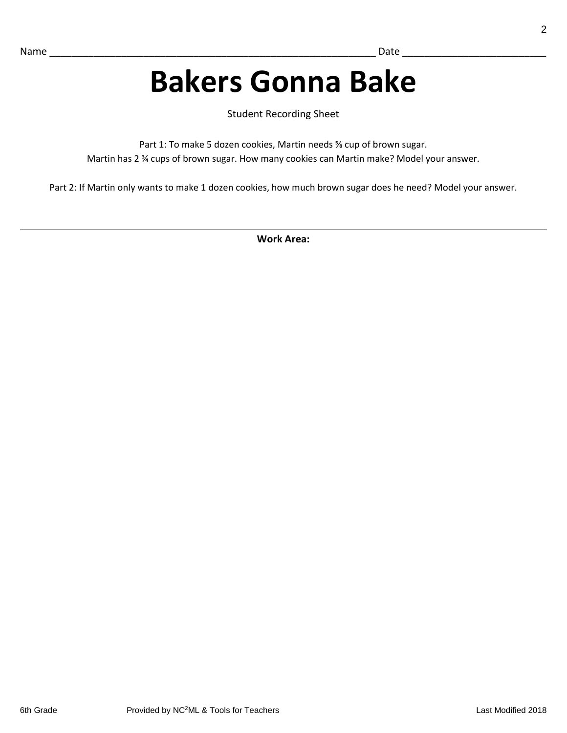# **Bakers Gonna Bake**

Student Recording Sheet

Part 1: To make 5 dozen cookies, Martin needs % cup of brown sugar. Martin has 2 ¾ cups of brown sugar. How many cookies can Martin make? Model your answer.

Part 2: If Martin only wants to make 1 dozen cookies, how much brown sugar does he need? Model your answer.

**Work Area:**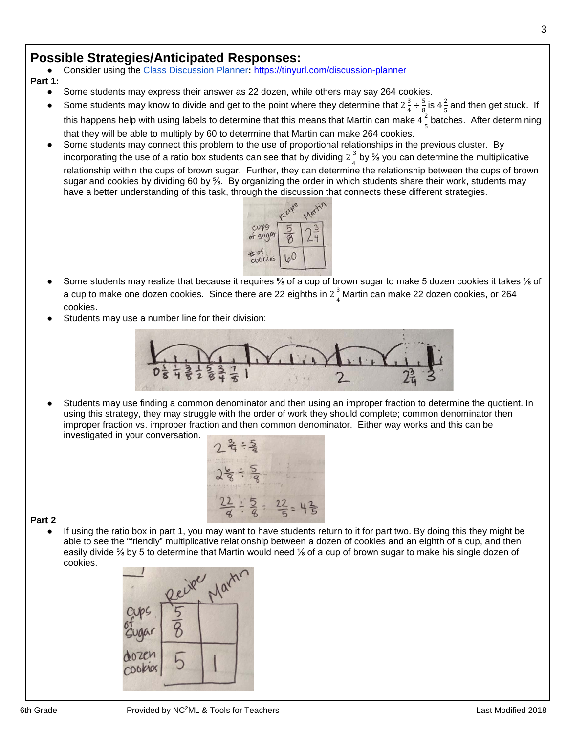● Consider using the [Class Discussion Planner](https://docs.google.com/document/d/1qKEV0p1zLhppNpwhYp3WqdkUw_ApvGdycuvLbvSLKEw/edit?usp=sharing)**:** <https://tinyurl.com/discussion-planner>

**Part 1:**

- Some students may express their answer as 22 dozen, while others may say 264 cookies.
- Some students may know to divide and get to the point where they determine that  $2\frac{3}{4} \div \frac{5}{8}$  $\frac{5}{8}$  is 4 $\frac{2}{5}$  and then get stuck. If this happens help with using labels to determine that this means that Martin can make  $4\frac{2}{5}$  batches. After determining that they will be able to multiply by 60 to determine that Martin can make 264 cookies.
- Some students may connect this problem to the use of proportional relationships in the previous cluster. By incorporating the use of a ratio box students can see that by dividing  $2\frac{3}{4}$  by % you can determine the multiplicative relationship within the cups of brown sugar. Further, they can determine the relationship between the cups of brown sugar and cookies by dividing 60 by ⅝. By organizing the order in which students share their work, students may have a better understanding of this task, through the discussion that connects these different strategies.



- Some students may realize that because it requires <sup>5</sup>/<sub>8</sub> of a cup of brown sugar to make 5 dozen cookies it takes 1/8 of a cup to make one dozen cookies. Since there are 22 eighths in  $2\frac{3}{4}$ Martin can make 22 dozen cookies, or 264 cookies.
- Students may use a number line for their division:



Students may use finding a common denominator and then using an improper fraction to determine the quotient. In using this strategy, they may struggle with the order of work they should complete; common denominator then improper fraction vs. improper fraction and then common denominator. Either way works and this can be investigated in your conversation.



#### **Part 2**

If using the ratio box in part 1, you may want to have students return to it for part two. By doing this they might be able to see the "friendly" multiplicative relationship between a dozen of cookies and an eighth of a cup, and then easily divide ⅝ by 5 to determine that Martin would need ⅛ of a cup of brown sugar to make his single dozen of cookies.

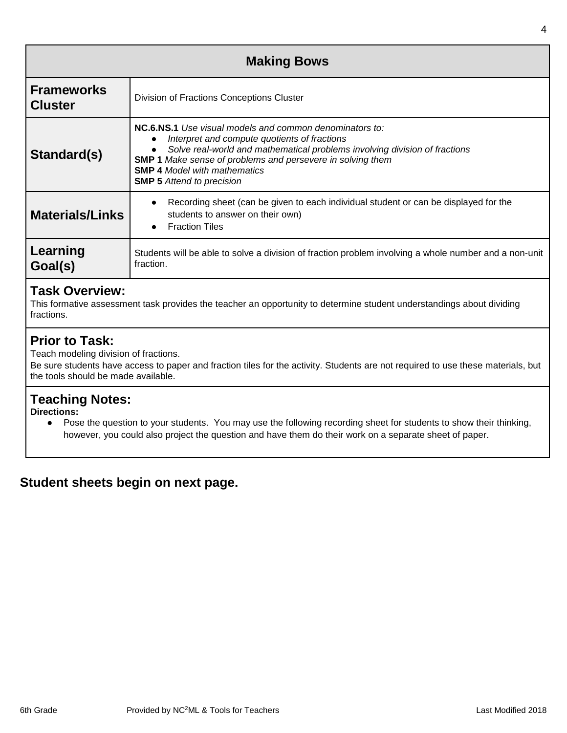| <b>Making Bows</b>                  |                                                                                                                                                                                                                                                                                                                                       |  |
|-------------------------------------|---------------------------------------------------------------------------------------------------------------------------------------------------------------------------------------------------------------------------------------------------------------------------------------------------------------------------------------|--|
| <b>Frameworks</b><br><b>Cluster</b> | Division of Fractions Conceptions Cluster                                                                                                                                                                                                                                                                                             |  |
| Standard(s)                         | <b>NC.6.NS.1</b> Use visual models and common denominators to:<br>Interpret and compute quotients of fractions<br>Solve real-world and mathematical problems involving division of fractions<br>SMP 1 Make sense of problems and persevere in solving them<br><b>SMP 4 Model with mathematics</b><br><b>SMP 5</b> Attend to precision |  |
| <b>Materials/Links</b>              | Recording sheet (can be given to each individual student or can be displayed for the<br>students to answer on their own)<br><b>Fraction Tiles</b>                                                                                                                                                                                     |  |
| Learning<br>Goal(s)                 | Students will be able to solve a division of fraction problem involving a whole number and a non-unit<br>fraction.                                                                                                                                                                                                                    |  |

### **Task Overview:**

This formative assessment task provides the teacher an opportunity to determine student understandings about dividing fractions.

### **Prior to Task:**

Teach modeling division of fractions.

Be sure students have access to paper and fraction tiles for the activity. Students are not required to use these materials, but the tools should be made available.

### **Teaching Notes:**

**Directions:**

● Pose the question to your students. You may use the following recording sheet for students to show their thinking, however, you could also project the question and have them do their work on a separate sheet of paper.

# **Student sheets begin on next page.**

4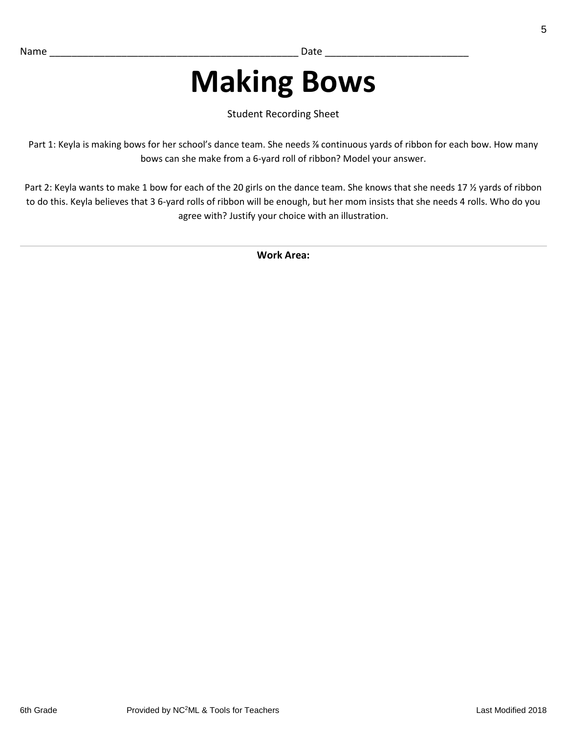# **Making Bows**

Student Recording Sheet

Part 1: Keyla is making bows for her school's dance team. She needs % continuous yards of ribbon for each bow. How many bows can she make from a 6-yard roll of ribbon? Model your answer.

Part 2: Keyla wants to make 1 bow for each of the 20 girls on the dance team. She knows that she needs 17 % yards of ribbon to do this. Keyla believes that 3 6-yard rolls of ribbon will be enough, but her mom insists that she needs 4 rolls. Who do you agree with? Justify your choice with an illustration.

**Work Area:**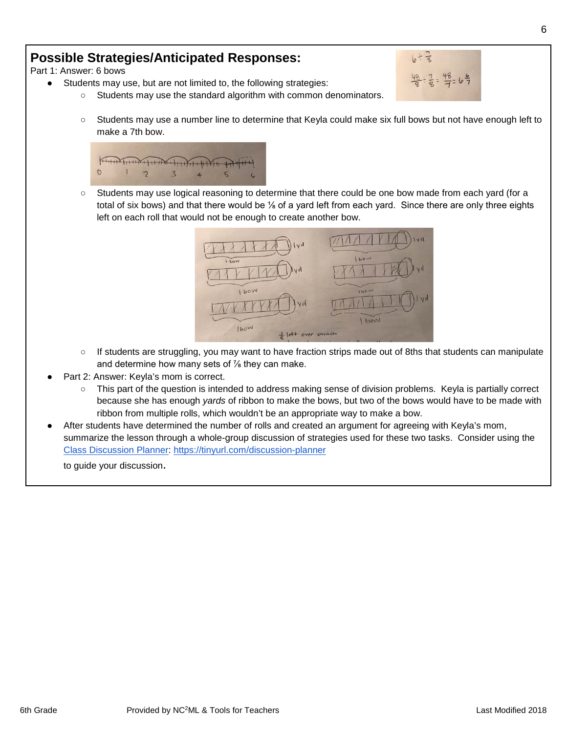Part 1: Answer: 6 bows

- Students may use, but are not limited to, the following strategies:
	- Students may use the standard algorithm with common denominators.



 $10^{1.7}$ 

 $\div \frac{7}{8} = \frac{48}{7} = 6\frac{6}{7}$ 



○ Students may use logical reasoning to determine that there could be one bow made from each yard (for a total of six bows) and that there would be ⅛ of a yard left from each yard. Since there are only three eights left on each roll that would not be enough to create another bow.



- If students are struggling, you may want to have fraction strips made out of 8ths that students can manipulate and determine how many sets of  $\frac{7}{8}$  they can make.
- Part 2: Answer: Keyla's mom is correct.
	- This part of the question is intended to address making sense of division problems. Keyla is partially correct because she has enough *yards* of ribbon to make the bows, but two of the bows would have to be made with ribbon from multiple rolls, which wouldn't be an appropriate way to make a bow.
- After students have determined the number of rolls and created an argument for agreeing with Keyla's mom, summarize the lesson through a whole-group discussion of strategies used for these two tasks. Consider using the [Class Discussion Planner:](https://docs.google.com/document/d/1qKEV0p1zLhppNpwhYp3WqdkUw_ApvGdycuvLbvSLKEw/edit?usp=sharing)<https://tinyurl.com/discussion-planner>

to guide your discussion.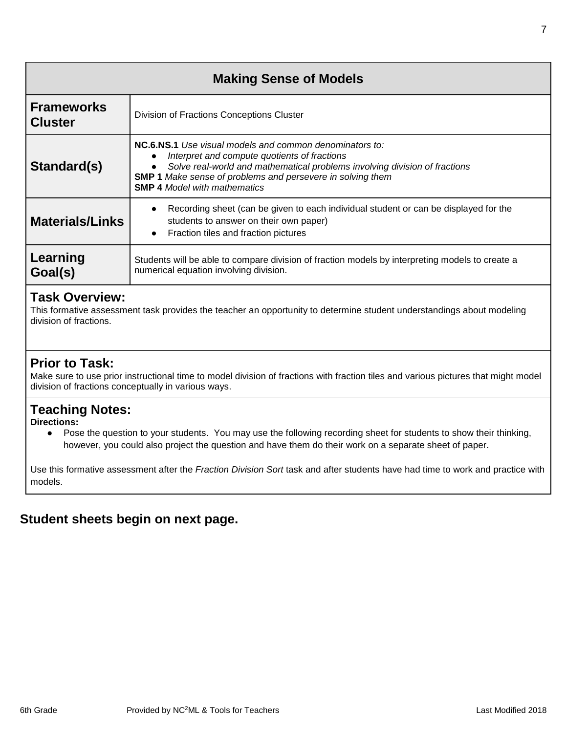| <b>Making Sense of Models</b>       |                                                                                                                                                                                                                                                                                                          |  |
|-------------------------------------|----------------------------------------------------------------------------------------------------------------------------------------------------------------------------------------------------------------------------------------------------------------------------------------------------------|--|
| <b>Frameworks</b><br><b>Cluster</b> | Division of Fractions Conceptions Cluster                                                                                                                                                                                                                                                                |  |
| Standard(s)                         | <b>NC.6.NS.1</b> Use visual models and common denominators to:<br>Interpret and compute quotients of fractions<br>Solve real-world and mathematical problems involving division of fractions<br><b>SMP 1</b> Make sense of problems and persevere in solving them<br><b>SMP 4 Model with mathematics</b> |  |
| <b>Materials/Links</b>              | Recording sheet (can be given to each individual student or can be displayed for the<br>students to answer on their own paper)<br>Fraction tiles and fraction pictures<br>$\bullet$                                                                                                                      |  |
| Learning<br>Goal(s)                 | Students will be able to compare division of fraction models by interpreting models to create a<br>numerical equation involving division.                                                                                                                                                                |  |

### **Task Overview:**

This formative assessment task provides the teacher an opportunity to determine student understandings about modeling division of fractions.

# **Prior to Task:**

Make sure to use prior instructional time to model division of fractions with fraction tiles and various pictures that might model division of fractions conceptually in various ways.

# **Teaching Notes:**

**Directions:**

● Pose the question to your students. You may use the following recording sheet for students to show their thinking, however, you could also project the question and have them do their work on a separate sheet of paper.

Use this formative assessment after the *Fraction Division Sort* task and after students have had time to work and practice with models.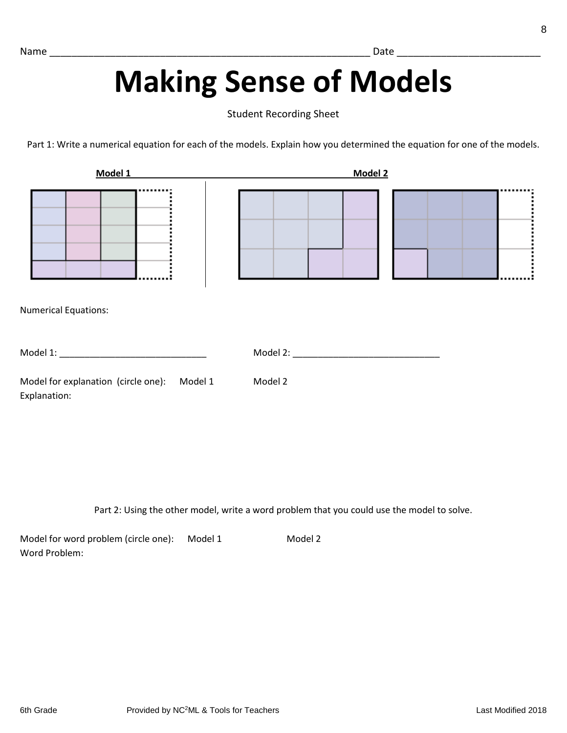# **Making Sense of Models**

Student Recording Sheet

Part 1: Write a numerical equation for each of the models. Explain how you determined the equation for one of the models.

| Model 1                                                     | Model 2 |  |
|-------------------------------------------------------------|---------|--|
| <b>Numerical Equations:</b>                                 |         |  |
|                                                             |         |  |
| Model for explanation (circle one): Model 1<br>Explanation: | Model 2 |  |

Part 2: Using the other model, write a word problem that you could use the model to solve.

Model for word problem (circle one): Model 1 Model 2 Word Problem: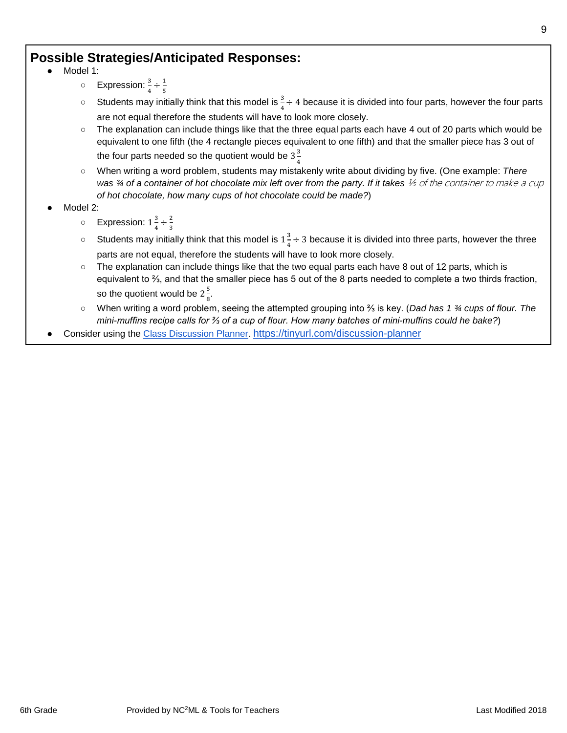- Model 1:
	- Expression:  $\frac{3}{4} \div \frac{1}{5}$
	- Students may initially think that this model is  $\frac{3}{4} \div 4$  because it is divided into four parts, however the four parts are not equal therefore the students will have to look more closely.
	- The explanation can include things like that the three equal parts each have 4 out of 20 parts which would be equivalent to one fifth (the 4 rectangle pieces equivalent to one fifth) and that the smaller piece has 3 out of the four parts needed so the quotient would be 3 $\frac{3}{4}$
	- When writing a word problem, students may mistakenly write about dividing by five. (One example: *There*  was <sup>3</sup>/4 of a container of hot chocolate mix left over from the party. If it takes <sup>1/5</sup> of the container to make a cup *of hot chocolate, how many cups of hot chocolate could be made?*)
- Model 2:
	- Expression:  $1\frac{3}{4} \div \frac{2}{3}$
	- Students may initially think that this model is  $1\frac{3}{4} \div 3$  because it is divided into three parts, however the three parts are not equal, therefore the students will have to look more closely.
	- The explanation can include things like that the two equal parts each have 8 out of 12 parts, which is equivalent to ⅔, and that the smaller piece has 5 out of the 8 parts needed to complete a two thirds fraction, so the quotient would be  $2\frac{5}{8}$ .
	- When writing a word problem, seeing the attempted grouping into ⅔ is key. (*Dad has 1 ¾ cups of flour. The mini-muffins recipe calls for ⅔ of a cup of flour. How many batches of mini-muffins could he bake?*)
- Consider using the [Class Discussion Planner.](https://docs.google.com/document/d/1qKEV0p1zLhppNpwhYp3WqdkUw_ApvGdycuvLbvSLKEw/edit?usp=sharing)<https://tinyurl.com/discussion-planner>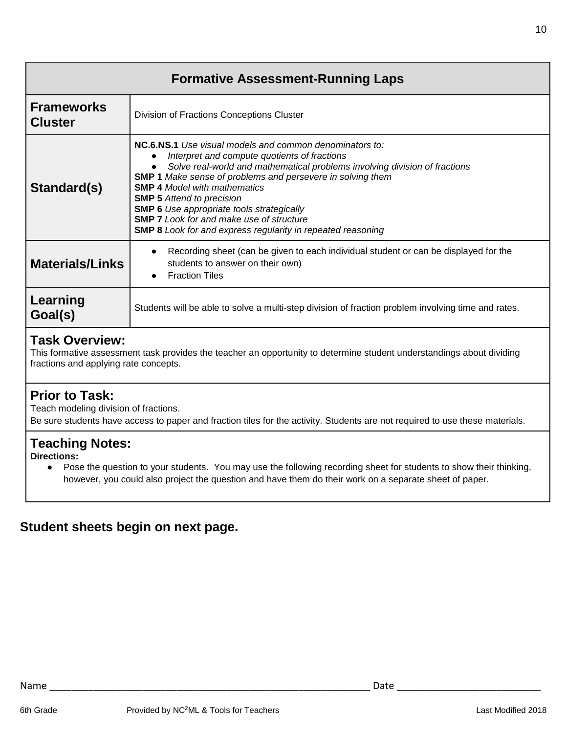| <b>Formative Assessment-Running Laps</b>                                                                                                                                                |                                                                                                                                                                                                                                                                                                                                                                                                                                                                                                                                        |  |
|-----------------------------------------------------------------------------------------------------------------------------------------------------------------------------------------|----------------------------------------------------------------------------------------------------------------------------------------------------------------------------------------------------------------------------------------------------------------------------------------------------------------------------------------------------------------------------------------------------------------------------------------------------------------------------------------------------------------------------------------|--|
| <b>Frameworks</b><br><b>Cluster</b>                                                                                                                                                     | Division of Fractions Conceptions Cluster                                                                                                                                                                                                                                                                                                                                                                                                                                                                                              |  |
| Standard(s)                                                                                                                                                                             | <b>NC.6.NS.1</b> Use visual models and common denominators to:<br>Interpret and compute quotients of fractions<br>$\bullet$<br>Solve real-world and mathematical problems involving division of fractions<br><b>SMP 1</b> Make sense of problems and persevere in solving them<br><b>SMP 4 Model with mathematics</b><br><b>SMP 5</b> Attend to precision<br><b>SMP 6</b> Use appropriate tools strategically<br><b>SMP 7</b> Look for and make use of structure<br><b>SMP 8</b> Look for and express regularity in repeated reasoning |  |
| <b>Materials/Links</b>                                                                                                                                                                  | Recording sheet (can be given to each individual student or can be displayed for the<br>$\bullet$<br>students to answer on their own)<br><b>Fraction Tiles</b>                                                                                                                                                                                                                                                                                                                                                                         |  |
| Learning<br>Goal(s)                                                                                                                                                                     | Students will be able to solve a multi-step division of fraction problem involving time and rates.                                                                                                                                                                                                                                                                                                                                                                                                                                     |  |
| <b>Task Overview:</b><br>This formative assessment task provides the teacher an opportunity to determine student understandings about dividing<br>fractions and applying rate concepts. |                                                                                                                                                                                                                                                                                                                                                                                                                                                                                                                                        |  |

### **Prior to Task:**

Teach modeling division of fractions.

Be sure students have access to paper and fraction tiles for the activity. Students are not required to use these materials.

### **Teaching Notes:**

**Directions:**

● Pose the question to your students. You may use the following recording sheet for students to show their thinking, however, you could also project the question and have them do their work on a separate sheet of paper.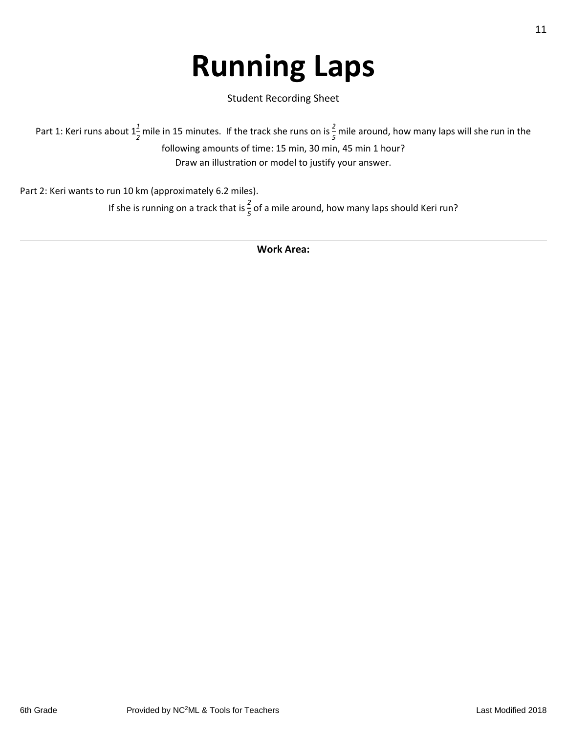# **Running Laps**

Student Recording Sheet

Part 1: Keri runs about  $1\frac{1}{2}$  mile in 15 minutes. If the track she runs on is  $\frac{2}{5}$  mile around, how many laps will she run in the following amounts of time: 15 min, 30 min, 45 min 1 hour? Draw an illustration or model to justify your answer.

Part 2: Keri wants to run 10 km (approximately 6.2 miles).

If she is running on a track that is  $\frac{2}{5}$  of a mile around, how many laps should Keri run?

**Work Area:**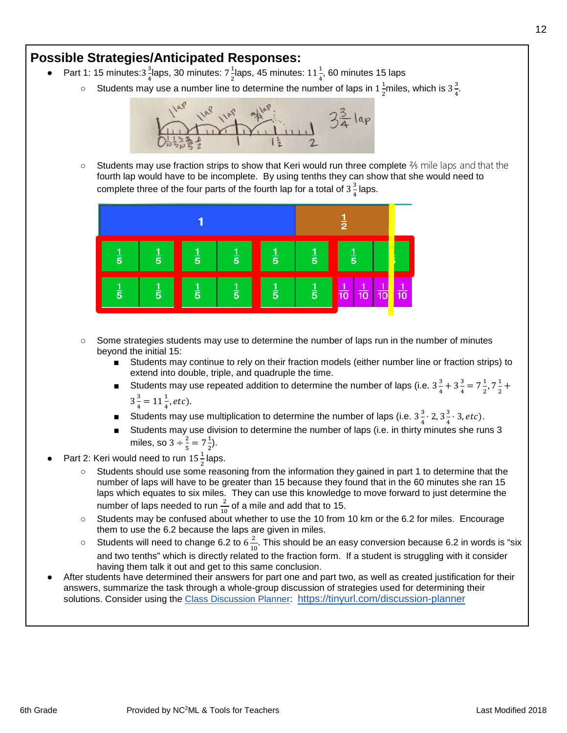- Part 1: 15 minutes:3 $\frac{3}{4}$ laps, 30 minutes: 7 $\frac{1}{2}$ laps, 45 minutes: 11 $\frac{1}{4}$ , 60 minutes 15 laps
	- Students may use a number line to determine the number of laps in  $1\frac{1}{2}$ miles, which is  $3\frac{3}{4}$ .



 $\circ$  Students may use fraction strips to show that Keri would run three complete  $\frac{2}{5}$  mile laps and that the fourth lap would have to be incomplete. By using tenths they can show that she would need to complete three of the four parts of the fourth lap for a total of  $3\frac{3}{4}$  laps.



- Some strategies students may use to determine the number of laps run in the number of minutes beyond the initial 15:
	- Students may continue to rely on their fraction models (either number line or fraction strips) to extend into double, triple, and quadruple the time.
	- Students may use repeated addition to determine the number of laps (i.e.  $3\frac{3}{4} + 3\frac{3}{4} = 7\frac{1}{2}$ ,  $7\frac{1}{2}$  +  $3\frac{3}{4} = 11\frac{1}{4}$ , etc).
	- Students may use multiplication to determine the number of laps (i.e.  $3\frac{3}{4} \cdot 2$ ,  $3\frac{3}{4} \cdot 3$ , *etc*).
	- Students may use division to determine the number of laps (i.e. in thirty minutes she runs 3 miles, so  $3 \div \frac{2}{5} = 7\frac{1}{2}$ ).
- Part 2: Keri would need to run  $15\frac{1}{2}$  laps.
	- Students should use some reasoning from the information they gained in part 1 to determine that the number of laps will have to be greater than 15 because they found that in the 60 minutes she ran 15 laps which equates to six miles. They can use this knowledge to move forward to just determine the number of laps needed to run  $\frac{2}{10}$  of a mile and add that to 15.
	- Students may be confused about whether to use the 10 from 10 km or the 6.2 for miles. Encourage them to use the 6.2 because the laps are given in miles.
	- Students will need to change 6.2 to  $6\frac{2}{10}$ . This should be an easy conversion because 6.2 in words is "six and two tenths" which is directly related to the fraction form. If a student is struggling with it consider having them talk it out and get to this same conclusion.
- After students have determined their answers for part one and part two, as well as created justification for their answers, summarize the task through a whole-group discussion of strategies used for determining their solutions. Consider using the [Class Discussion Planner:](https://docs.google.com/document/d/1qKEV0p1zLhppNpwhYp3WqdkUw_ApvGdycuvLbvSLKEw/edit?usp=sharing) <https://tinyurl.com/discussion-planner>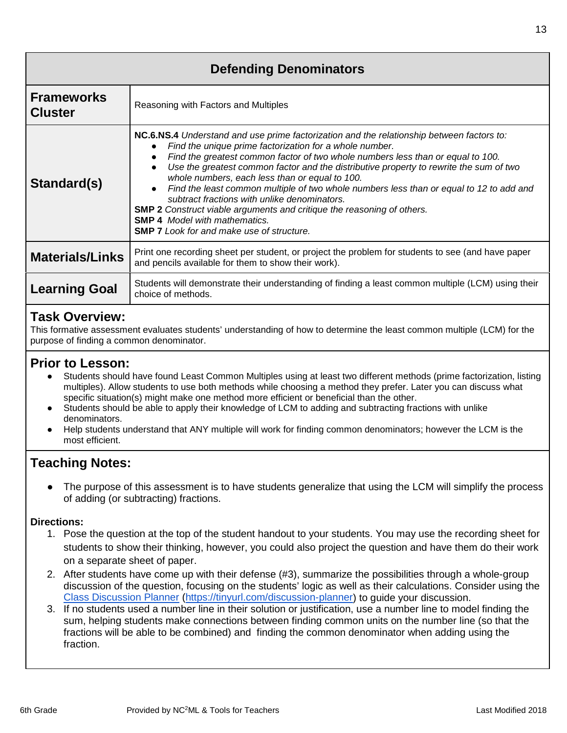| <b>Defending Denominators</b>       |                                                                                                                                                                                                                                                                                                                                                                                                                                                                                                                                                                                                                                                                                                             |  |
|-------------------------------------|-------------------------------------------------------------------------------------------------------------------------------------------------------------------------------------------------------------------------------------------------------------------------------------------------------------------------------------------------------------------------------------------------------------------------------------------------------------------------------------------------------------------------------------------------------------------------------------------------------------------------------------------------------------------------------------------------------------|--|
| <b>Frameworks</b><br><b>Cluster</b> | Reasoning with Factors and Multiples                                                                                                                                                                                                                                                                                                                                                                                                                                                                                                                                                                                                                                                                        |  |
| Standard(s)                         | NC.6.NS.4 Understand and use prime factorization and the relationship between factors to:<br>Find the unique prime factorization for a whole number.<br>Find the greatest common factor of two whole numbers less than or equal to 100.<br>Use the greatest common factor and the distributive property to rewrite the sum of two<br>whole numbers, each less than or equal to 100.<br>Find the least common multiple of two whole numbers less than or equal to 12 to add and<br>subtract fractions with unlike denominators.<br><b>SMP 2</b> Construct viable arguments and critique the reasoning of others.<br><b>SMP 4</b> Model with mathematics.<br><b>SMP 7</b> Look for and make use of structure. |  |
| <b>Materials/Links</b>              | Print one recording sheet per student, or project the problem for students to see (and have paper<br>and pencils available for them to show their work).                                                                                                                                                                                                                                                                                                                                                                                                                                                                                                                                                    |  |
| <b>Learning Goal</b>                | Students will demonstrate their understanding of finding a least common multiple (LCM) using their<br>choice of methods.                                                                                                                                                                                                                                                                                                                                                                                                                                                                                                                                                                                    |  |
| <b>Task Overview:</b>               |                                                                                                                                                                                                                                                                                                                                                                                                                                                                                                                                                                                                                                                                                                             |  |

#### This formative assessment evaluates students' understanding of how to determine the least common multiple (LCM) for the purpose of finding a common denominator.

# **Prior to Lesson:**

- Students should have found Least Common Multiples using at least two different methods (prime factorization, listing multiples). Allow students to use both methods while choosing a method they prefer. Later you can discuss what specific situation(s) might make one method more efficient or beneficial than the other.
- Students should be able to apply their knowledge of LCM to adding and subtracting fractions with unlike denominators.
- Help students understand that ANY multiple will work for finding common denominators; however the LCM is the most efficient.

# **Teaching Notes:**

The purpose of this assessment is to have students generalize that using the LCM will simplify the process of adding (or subtracting) fractions.

#### **Directions:**

- 1. Pose the question at the top of the student handout to your students. You may use the recording sheet for students to show their thinking, however, you could also project the question and have them do their work on a separate sheet of paper.
- 2. After students have come up with their defense (#3), summarize the possibilities through a whole-group discussion of the question, focusing on the students' logic as well as their calculations. Consider using the [Class Discussion Planner](https://docs.google.com/document/d/1qKEV0p1zLhppNpwhYp3WqdkUw_ApvGdycuvLbvSLKEw/edit?usp=sharing) [\(https://tinyurl.com/discussion-planner\)](https://tinyurl.com/discussion-planner) to guide your discussion.
- 3. If no students used a number line in their solution or justification, use a number line to model finding the sum, helping students make connections between finding common units on the number line (so that the fractions will be able to be combined) and finding the common denominator when adding using the fraction.

13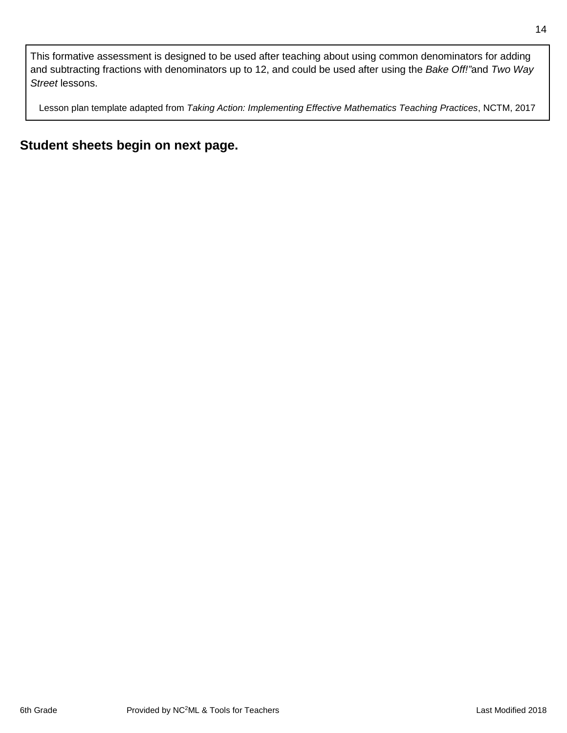This formative assessment is designed to be used after teaching about using common denominators for adding and subtracting fractions with denominators up to 12, and could be used after using the *Bake Off!"*and *Two Way Street* lessons.

Lesson plan template adapted from *Taking Action: Implementing Effective Mathematics Teaching Practices*, NCTM, 2017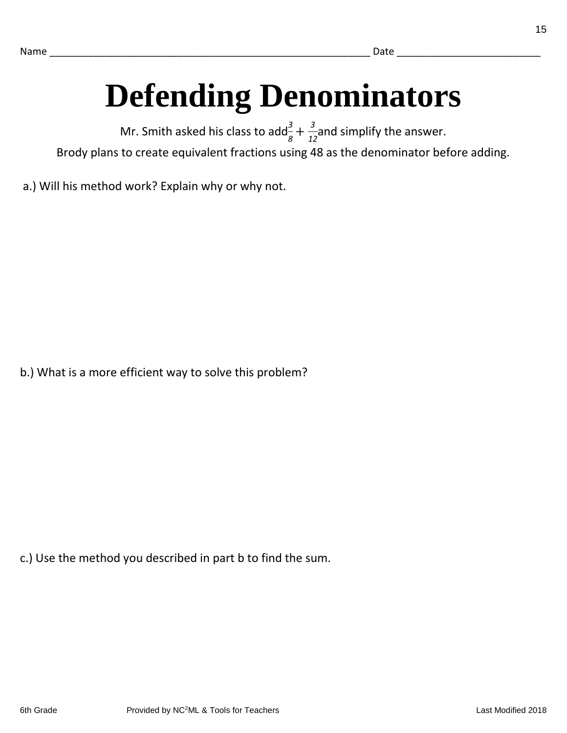# **Defending Denominators**

Mr. Smith asked his class to add $\frac{3}{8} + \frac{3}{12}$  and simplify the answer. Brody plans to create equivalent fractions using 48 as the denominator before adding.

a.) Will his method work? Explain why or why not.

b.) What is a more efficient way to solve this problem?

c.) Use the method you described in part b to find the sum.